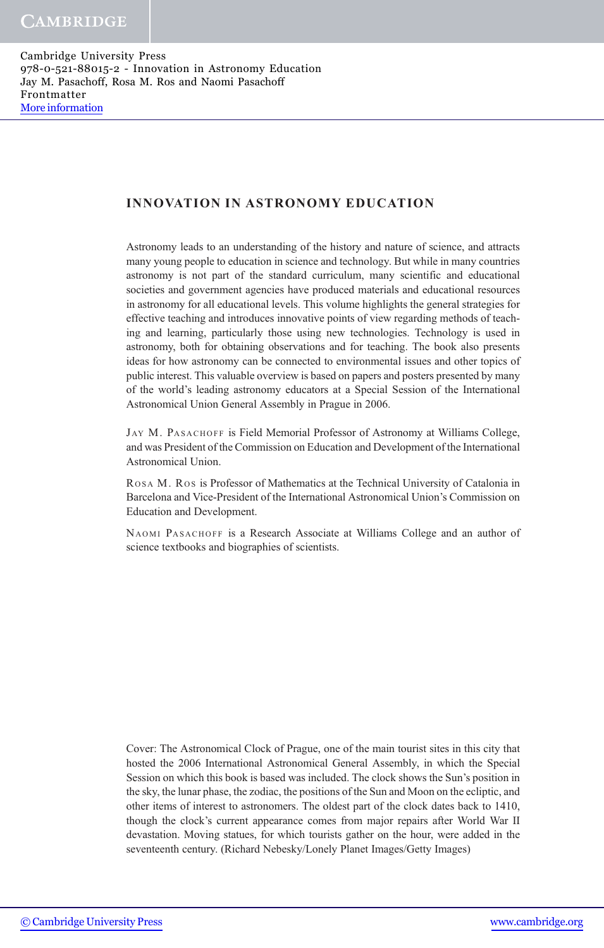### INNOVATION IN ASTRONOMY EDUCATION

Astronomy leads to an understanding of the history and nature of science, and attracts many young people to education in science and technology. But while in many countries astronomy is not part of the standard curriculum, many scientific and educational societies and government agencies have produced materials and educational resources in astronomy for all educational levels. This volume highlights the general strategies for effective teaching and introduces innovative points of view regarding methods of teaching and learning, particularly those using new technologies. Technology is used in astronomy, both for obtaining observations and for teaching. The book also presents ideas for how astronomy can be connected to environmental issues and other topics of public interest. This valuable overview is based on papers and posters presented by many of the world's leading astronomy educators at a Special Session of the International Astronomical Union General Assembly in Prague in 2006.

JAY M. PASACHOFF is Field Memorial Professor of Astronomy at Williams College, and was President of the Commission on Education and Development of the International Astronomical Union.

ROSA M. ROS is Professor of Mathematics at the Technical University of Catalonia in Barcelona and Vice-President of the International Astronomical Union's Commission on Education and Development.

NAOMI PASACHOFF is a Research Associate at Williams College and an author of science textbooks and biographies of scientists.

Cover: The Astronomical Clock of Prague, one of the main tourist sites in this city that hosted the 2006 International Astronomical General Assembly, in which the Special Session on which this book is based was included. The clock shows the Sun's position in the sky, the lunar phase, the zodiac, the positions of the Sun and Moon on the ecliptic, and other items of interest to astronomers. The oldest part of the clock dates back to 1410, though the clock's current appearance comes from major repairs after World War II devastation. Moving statues, for which tourists gather on the hour, were added in the seventeenth century. (Richard Nebesky/Lonely Planet Images/Getty Images)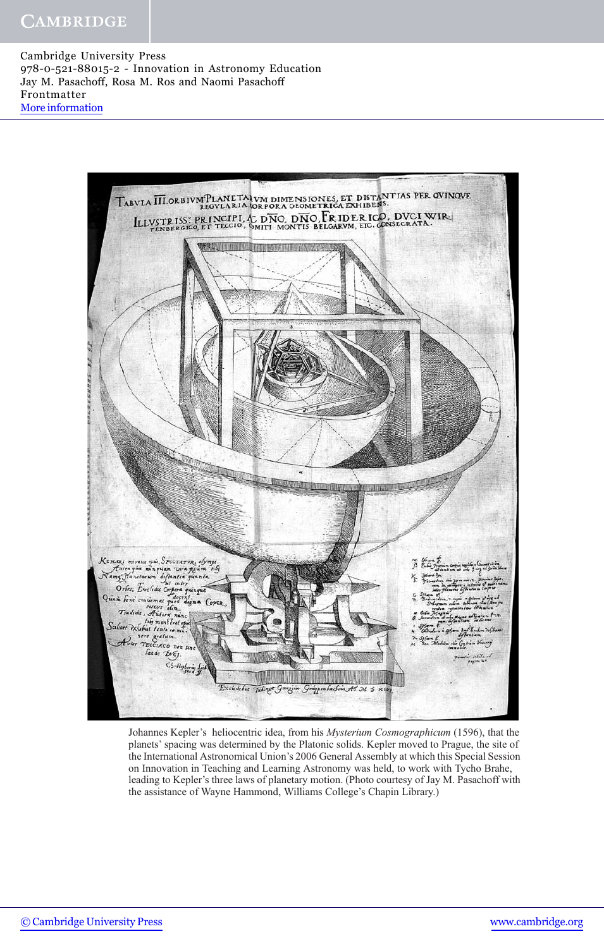

Johannes Kepler's heliocentric idea, from his *Mysterium Cosmographicum* (1596), that the planets' spacing was determined by the Platonic solids. Kepler moved to Prague, the site of the International Astronomical Union's 2006 General Assembly at which this Special Session on Innovation in Teaching and Learning Astronomy was held, to work with Tycho Brahe, leading to Kepler's three laws of planetary motion. (Photo courtesy of Jay M. Pasachoff with the assistance of Wayne Hammond, Williams College's Chapin Library.)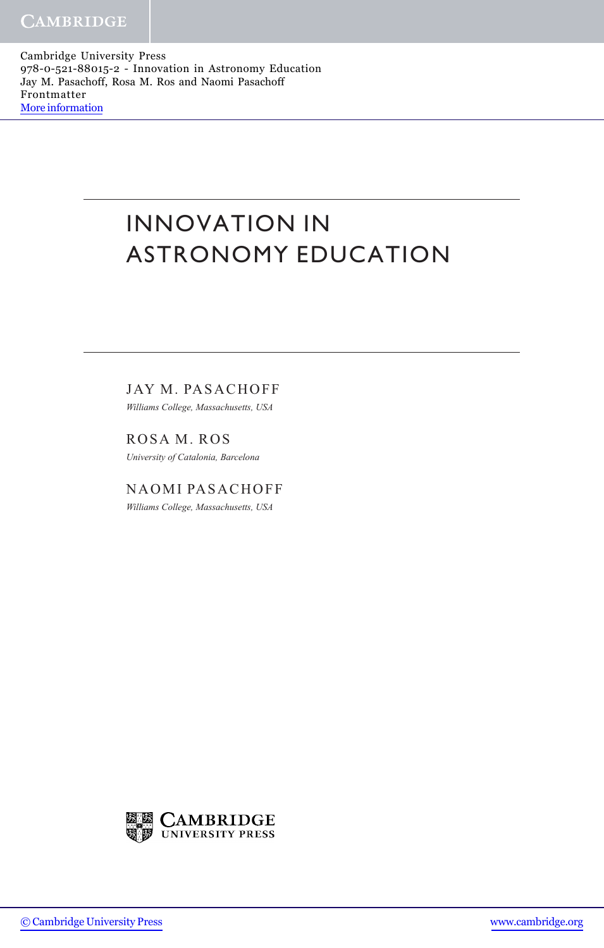# INNOVATION IN ASTRONOMY EDUCATION

JAY M. PASACHOFF

Williams College, Massachusetts, USA

ROSA M. ROS University of Catalonia, Barcelona

NAOMI PASACHOFF Williams College, Massachusetts, USA

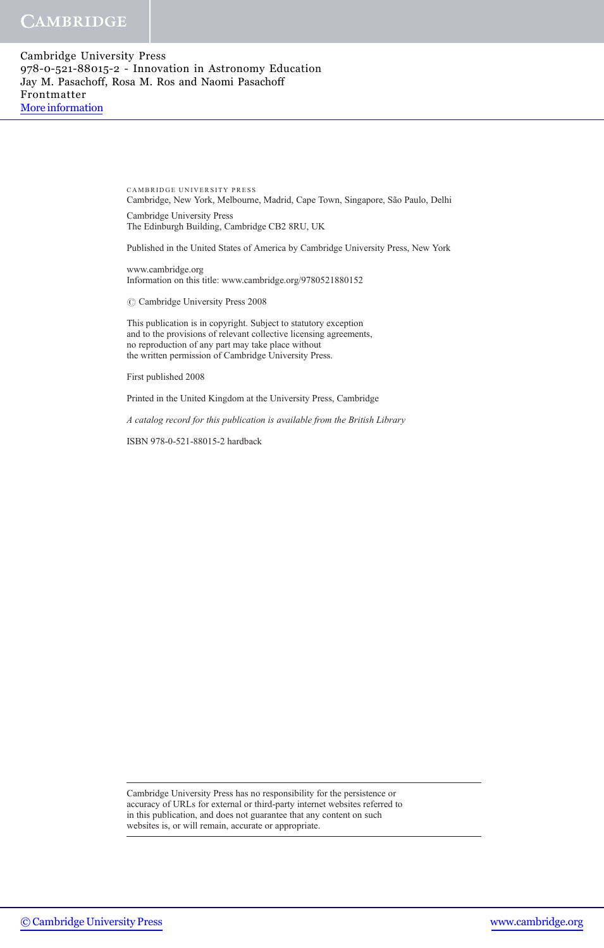> CAMBRIDGE UNIVERSITY PRESS Cambridge, New York, Melbourne, Madrid, Cape Town, Singapore, São Paulo, Delhi

Cambridge University Press The Edinburgh Building, Cambridge CB2 8RU, UK

Published in the United States of America by Cambridge University Press, New York

www.cambridge.org Information on this title: www.cambridge.org/9780521880152

 $\oslash$  Cambridge University Press 2008

This publication is in copyright. Subject to statutory exception and to the provisions of relevant collective licensing agreements, no reproduction of any part may take place without the written permission of Cambridge University Press.

First published 2008

Printed in the United Kingdom at the University Press, Cambridge

A catalog record for this publication is available from the British Library

ISBN 978-0-521-88015-2 hardback

Cambridge University Press has no responsibility for the persistence or accuracy of URLs for external or third-party internet websites referred to in this publication, and does not guarantee that any content on such websites is, or will remain, accurate or appropriate.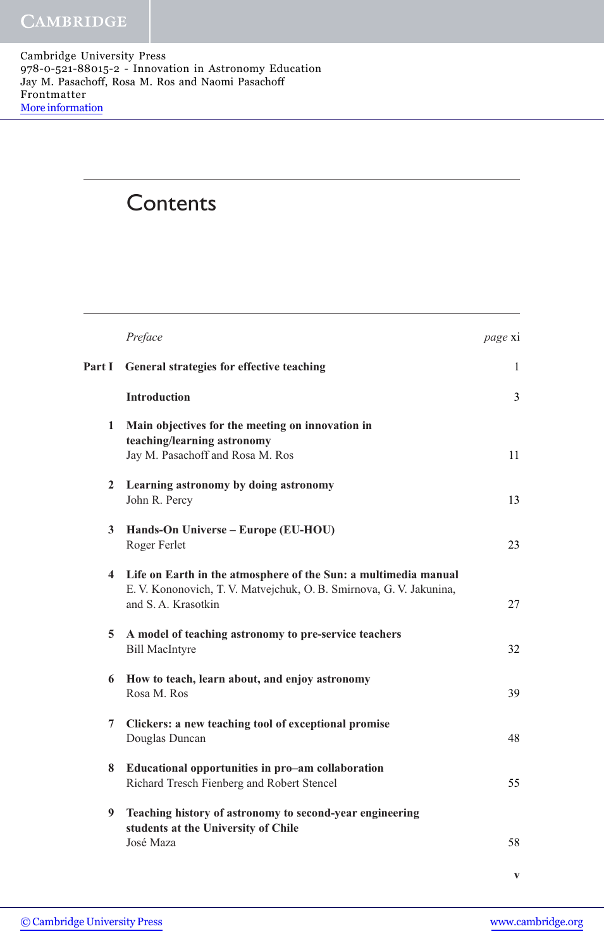## **Contents**

|                | Preface                                                                                                                                                         | <i>page</i> xi |
|----------------|-----------------------------------------------------------------------------------------------------------------------------------------------------------------|----------------|
| Part I         | General strategies for effective teaching                                                                                                                       | 1              |
|                | <b>Introduction</b>                                                                                                                                             | 3              |
| 1              | Main objectives for the meeting on innovation in<br>teaching/learning astronomy<br>Jay M. Pasachoff and Rosa M. Ros                                             | 11             |
| $\mathbf{2}^-$ | Learning astronomy by doing astronomy<br>John R. Percy                                                                                                          | 13             |
| 3 <sup>1</sup> | Hands-On Universe – Europe (EU-HOU)<br>Roger Ferlet                                                                                                             | 23             |
|                | 4 Life on Earth in the atmosphere of the Sun: a multimedia manual<br>E. V. Kononovich, T. V. Matvejchuk, O. B. Smirnova, G. V. Jakunina,<br>and S. A. Krasotkin | 27             |
| 5              | A model of teaching astronomy to pre-service teachers<br><b>Bill MacIntyre</b>                                                                                  | 32             |
| 6              | How to teach, learn about, and enjoy astronomy<br>Rosa M. Ros                                                                                                   | 39             |
| 7              | Clickers: a new teaching tool of exceptional promise<br>Douglas Duncan                                                                                          | 48             |
| 8              | Educational opportunities in pro-am collaboration<br>Richard Tresch Fienberg and Robert Stencel                                                                 | 55             |
| 9              | Teaching history of astronomy to second-year engineering<br>students at the University of Chile<br>José Maza                                                    | 58             |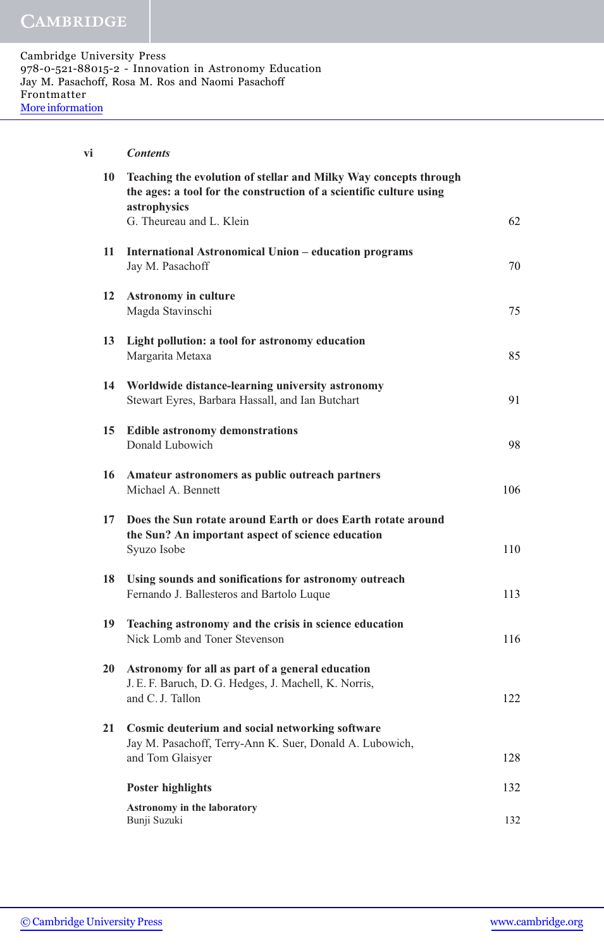| vi |    | <b>Contents</b>                                                                                                                                         |     |
|----|----|---------------------------------------------------------------------------------------------------------------------------------------------------------|-----|
|    | 10 | Teaching the evolution of stellar and Milky Way concepts through<br>the ages: a tool for the construction of a scientific culture using<br>astrophysics |     |
|    |    | G. Theureau and L. Klein                                                                                                                                | 62  |
|    | 11 | <b>International Astronomical Union – education programs</b><br>Jay M. Pasachoff                                                                        | 70  |
|    | 12 | <b>Astronomy in culture</b><br>Magda Stavinschi                                                                                                         | 75  |
|    | 13 | Light pollution: a tool for astronomy education<br>Margarita Metaxa                                                                                     | 85  |
|    | 14 | Worldwide distance-learning university astronomy<br>Stewart Eyres, Barbara Hassall, and Ian Butchart                                                    | 91  |
|    | 15 | <b>Edible astronomy demonstrations</b><br>Donald Lubowich                                                                                               | 98  |
|    | 16 | Amateur astronomers as public outreach partners<br>Michael A. Bennett                                                                                   | 106 |
|    | 17 | Does the Sun rotate around Earth or does Earth rotate around<br>the Sun? An important aspect of science education<br>Syuzo Isobe                        | 110 |
|    | 18 | Using sounds and sonifications for astronomy outreach<br>Fernando J. Ballesteros and Bartolo Luque                                                      | 113 |
|    | 19 | Teaching astronomy and the crisis in science education<br>Nick Lomb and Toner Stevenson                                                                 | 116 |
|    | 20 | Astronomy for all as part of a general education<br>J. E. F. Baruch, D. G. Hedges, J. Machell, K. Norris,<br>and C.J. Tallon                            | 122 |
|    | 21 | Cosmic deuterium and social networking software<br>Jay M. Pasachoff, Terry-Ann K. Suer, Donald A. Lubowich,<br>and Tom Glaisyer                         | 128 |
|    |    |                                                                                                                                                         |     |
|    |    | <b>Poster highlights</b>                                                                                                                                | 132 |
|    |    | Astronomy in the laboratory<br>Bunji Suzuki                                                                                                             | 132 |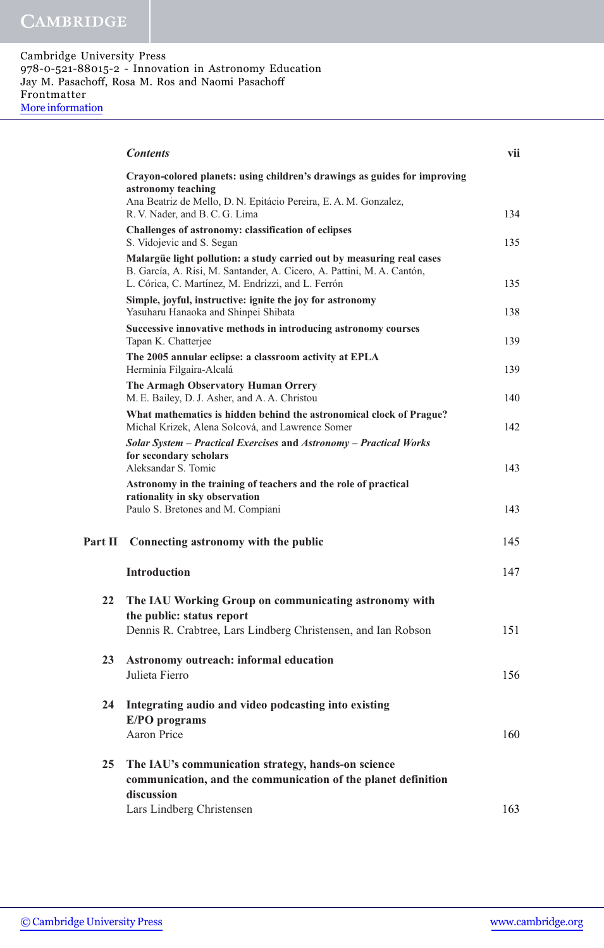|         | <b>Contents</b>                                                                                                                                                                                       | vii |
|---------|-------------------------------------------------------------------------------------------------------------------------------------------------------------------------------------------------------|-----|
|         | Crayon-colored planets: using children's drawings as guides for improving<br>astronomy teaching<br>Ana Beatriz de Mello, D. N. Epitácio Pereira, E. A. M. Gonzalez,<br>R. V. Nader, and B. C. G. Lima | 134 |
|         | Challenges of astronomy: classification of eclipses<br>S. Vidojevic and S. Segan                                                                                                                      | 135 |
|         | Malargüe light pollution: a study carried out by measuring real cases<br>B. García, A. Risi, M. Santander, A. Cicero, A. Pattini, M. A. Cantón,<br>L. Córica, C. Martínez, M. Endrizzi, and L. Ferrón | 135 |
|         | Simple, joyful, instructive: ignite the joy for astronomy<br>Yasuharu Hanaoka and Shinpei Shibata                                                                                                     | 138 |
|         | Successive innovative methods in introducing astronomy courses<br>Tapan K. Chatterjee                                                                                                                 | 139 |
|         | The 2005 annular eclipse: a classroom activity at EPLA<br>Herminia Filgaira-Alcalá                                                                                                                    | 139 |
|         | The Armagh Observatory Human Orrery<br>M. E. Bailey, D. J. Asher, and A. A. Christou                                                                                                                  | 140 |
|         | What mathematics is hidden behind the astronomical clock of Prague?<br>Michal Krizek, Alena Solcová, and Lawrence Somer                                                                               | 142 |
|         | Solar System - Practical Exercises and Astronomy - Practical Works<br>for secondary scholars<br>Aleksandar S. Tomic                                                                                   | 143 |
|         | Astronomy in the training of teachers and the role of practical<br>rationality in sky observation<br>Paulo S. Bretones and M. Compiani                                                                | 143 |
| Part II | Connecting astronomy with the public                                                                                                                                                                  | 145 |
|         | <b>Introduction</b>                                                                                                                                                                                   | 147 |
| 22      | The IAU Working Group on communicating astronomy with<br>the public: status report                                                                                                                    |     |
|         | Dennis R. Crabtree, Lars Lindberg Christensen, and Ian Robson                                                                                                                                         | 151 |
| 23      | Astronomy outreach: informal education<br>Julieta Fierro                                                                                                                                              | 156 |
| 24      | Integrating audio and video podcasting into existing<br>E/PO programs                                                                                                                                 |     |
|         | Aaron Price                                                                                                                                                                                           | 160 |
| 25      | The IAU's communication strategy, hands-on science<br>communication, and the communication of the planet definition<br>discussion                                                                     |     |
|         | Lars Lindberg Christensen                                                                                                                                                                             | 163 |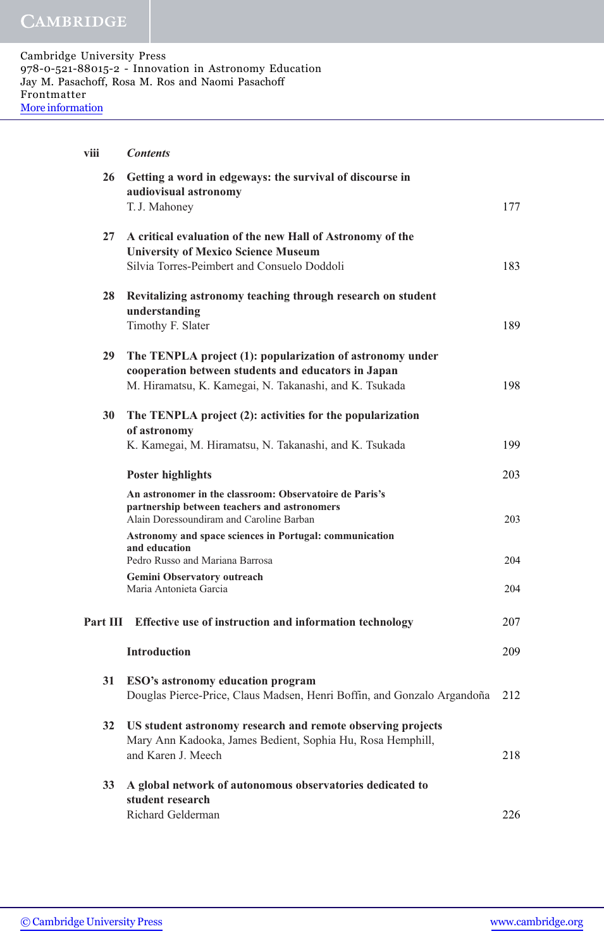| viii     | <b>Contents</b>                                                                                                                                        |     |
|----------|--------------------------------------------------------------------------------------------------------------------------------------------------------|-----|
| 26       | Getting a word in edgeways: the survival of discourse in<br>audiovisual astronomy                                                                      |     |
|          | T.J. Mahoney                                                                                                                                           | 177 |
| 27       | A critical evaluation of the new Hall of Astronomy of the<br><b>University of Mexico Science Museum</b><br>Silvia Torres-Peimbert and Consuelo Doddoli | 183 |
| 28       | Revitalizing astronomy teaching through research on student<br>understanding                                                                           |     |
|          | Timothy F. Slater                                                                                                                                      | 189 |
| 29       | The TENPLA project (1): popularization of astronomy under<br>cooperation between students and educators in Japan                                       |     |
|          | M. Hiramatsu, K. Kamegai, N. Takanashi, and K. Tsukada                                                                                                 | 198 |
| 30       | The TENPLA project (2): activities for the popularization<br>of astronomy                                                                              |     |
|          | K. Kamegai, M. Hiramatsu, N. Takanashi, and K. Tsukada                                                                                                 | 199 |
|          | <b>Poster highlights</b>                                                                                                                               | 203 |
|          | An astronomer in the classroom: Observatoire de Paris's<br>partnership between teachers and astronomers<br>Alain Doressoundiram and Caroline Barban    | 203 |
|          | Astronomy and space sciences in Portugal: communication<br>and education<br>Pedro Russo and Mariana Barrosa                                            | 204 |
|          | Gemini Observatory outreach                                                                                                                            |     |
|          | Maria Antonieta Garcia                                                                                                                                 | 204 |
| Part III | Effective use of instruction and information technology                                                                                                | 207 |
|          | <b>Introduction</b>                                                                                                                                    | 209 |
| 31       | ESO's astronomy education program                                                                                                                      |     |
|          | Douglas Pierce-Price, Claus Madsen, Henri Boffin, and Gonzalo Argandoña                                                                                | 212 |
| 32       | US student astronomy research and remote observing projects<br>Mary Ann Kadooka, James Bedient, Sophia Hu, Rosa Hemphill,<br>and Karen J. Meech        | 218 |
|          |                                                                                                                                                        |     |
| 33       | A global network of autonomous observatories dedicated to<br>student research                                                                          |     |
|          | Richard Gelderman                                                                                                                                      | 226 |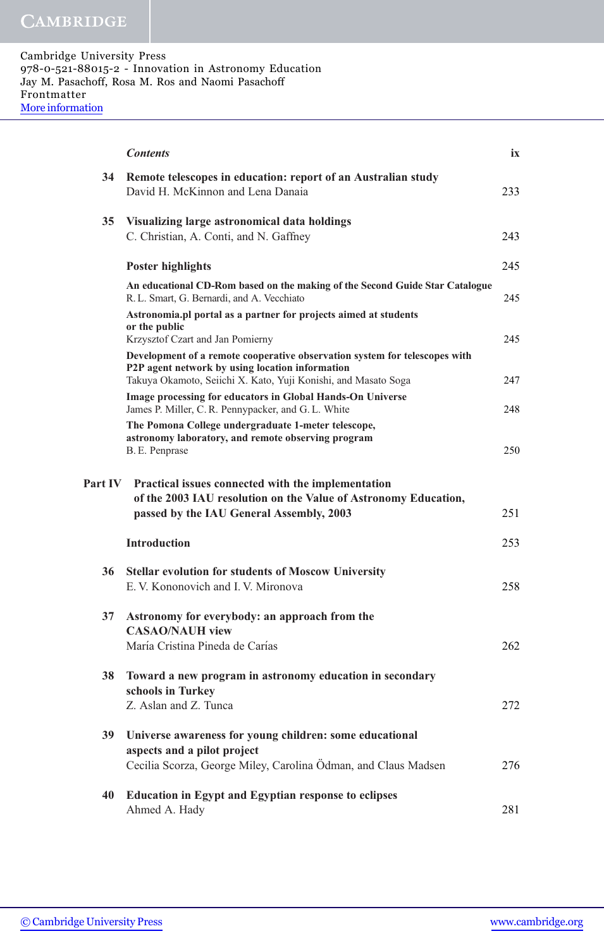|                | <b>Contents</b>                                                                                                                                                                     | ix         |
|----------------|-------------------------------------------------------------------------------------------------------------------------------------------------------------------------------------|------------|
| 34             | Remote telescopes in education: report of an Australian study<br>David H. McKinnon and Lena Danaia                                                                                  | 233        |
| 35             | Visualizing large astronomical data holdings<br>C. Christian, A. Conti, and N. Gaffney                                                                                              | 243        |
|                | <b>Poster highlights</b>                                                                                                                                                            | 245        |
|                | An educational CD-Rom based on the making of the Second Guide Star Catalogue<br>R. L. Smart, G. Bernardi, and A. Vecchiato                                                          | 245        |
|                | Astronomia.pl portal as a partner for projects aimed at students<br>or the public<br>Krzysztof Czart and Jan Pomierny                                                               | 245        |
|                | Development of a remote cooperative observation system for telescopes with<br>P2P agent network by using location information                                                       |            |
|                | Takuya Okamoto, Seiichi X. Kato, Yuji Konishi, and Masato Soga<br>Image processing for educators in Global Hands-On Universe<br>James P. Miller, C. R. Pennypacker, and G. L. White | 247<br>248 |
|                | The Pomona College undergraduate 1-meter telescope,<br>astronomy laboratory, and remote observing program                                                                           |            |
|                | B. E. Penprase                                                                                                                                                                      | 250        |
| <b>Part IV</b> | Practical issues connected with the implementation<br>of the 2003 IAU resolution on the Value of Astronomy Education,<br>passed by the IAU General Assembly, 2003                   | 251        |
|                | <b>Introduction</b>                                                                                                                                                                 | 253        |
| 36             | <b>Stellar evolution for students of Moscow University</b><br>E. V. Kononovich and I. V. Mironova                                                                                   | 258        |
| 37             | Astronomy for everybody: an approach from the<br><b>CASAO/NAUH view</b>                                                                                                             |            |
|                | María Cristina Pineda de Carías                                                                                                                                                     | 262        |
|                | 38 Toward a new program in astronomy education in secondary<br>schools in Turkey                                                                                                    |            |
|                | Z. Aslan and Z. Tunca                                                                                                                                                               | 272        |
| 39             | Universe awareness for young children: some educational<br>aspects and a pilot project                                                                                              |            |
|                | Cecilia Scorza, George Miley, Carolina Ödman, and Claus Madsen                                                                                                                      | 276        |
| 40             | <b>Education in Egypt and Egyptian response to eclipses</b><br>Ahmed A. Hady                                                                                                        | 281        |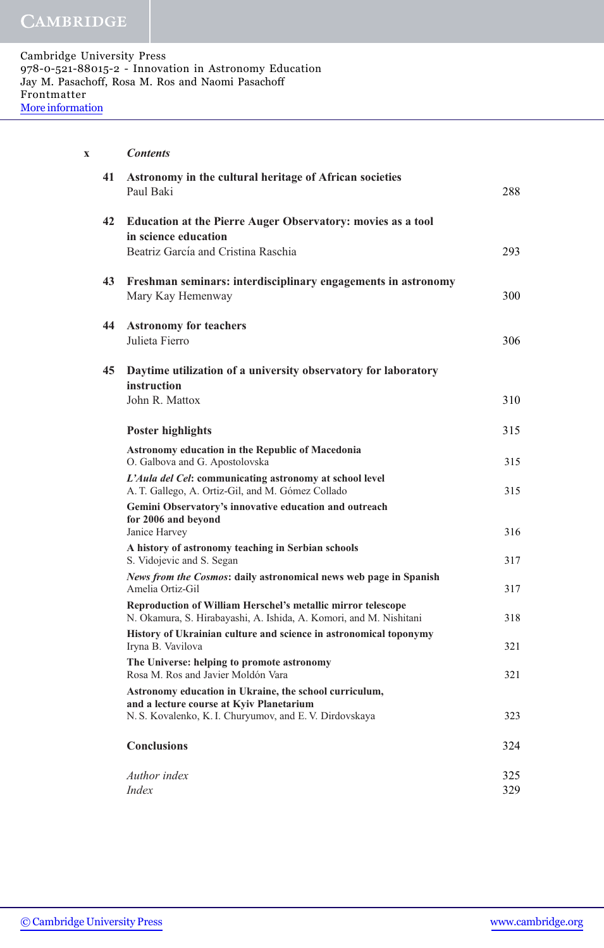| x |    | <b>Contents</b>                                                                                                                                               |            |
|---|----|---------------------------------------------------------------------------------------------------------------------------------------------------------------|------------|
|   | 41 | Astronomy in the cultural heritage of African societies<br>Paul Baki                                                                                          | 288        |
|   | 42 | Education at the Pierre Auger Observatory: movies as a tool<br>in science education                                                                           |            |
|   |    | Beatriz García and Cristina Raschia                                                                                                                           | 293        |
|   | 43 | Freshman seminars: interdisciplinary engagements in astronomy<br>Mary Kay Hemenway                                                                            | 300        |
|   | 44 | <b>Astronomy for teachers</b><br>Julieta Fierro                                                                                                               | 306        |
|   | 45 | Daytime utilization of a university observatory for laboratory                                                                                                |            |
|   |    | instruction<br>John R. Mattox                                                                                                                                 | 310        |
|   |    | <b>Poster highlights</b>                                                                                                                                      | 315        |
|   |    | <b>Astronomy education in the Republic of Macedonia</b><br>O. Galbova and G. Apostolovska                                                                     | 315        |
|   |    | L'Aula del Cel: communicating astronomy at school level<br>A. T. Gallego, A. Ortiz-Gil, and M. Gómez Collado                                                  | 315        |
|   |    | Gemini Observatory's innovative education and outreach<br>for 2006 and beyond<br>Janice Harvey                                                                | 316        |
|   |    | A history of astronomy teaching in Serbian schools<br>S. Vidojevic and S. Segan                                                                               | 317        |
|   |    | News from the Cosmos: daily astronomical news web page in Spanish<br>Amelia Ortiz-Gil                                                                         | 317        |
|   |    | Reproduction of William Herschel's metallic mirror telescope<br>N. Okamura, S. Hirabayashi, A. Ishida, A. Komori, and M. Nishitani                            | 318        |
|   |    | History of Ukrainian culture and science in astronomical toponymy<br>Iryna B. Vavilova                                                                        | 321        |
|   |    | The Universe: helping to promote astronomy<br>Rosa M. Ros and Javier Moldón Vara                                                                              | 321        |
|   |    | Astronomy education in Ukraine, the school curriculum,<br>and a lecture course at Kyiv Planetarium<br>N. S. Kovalenko, K. I. Churyumov, and E. V. Dirdovskaya | 323        |
|   |    | <b>Conclusions</b>                                                                                                                                            | 324        |
|   |    | Author index<br><i>Index</i>                                                                                                                                  | 325<br>329 |
|   |    |                                                                                                                                                               |            |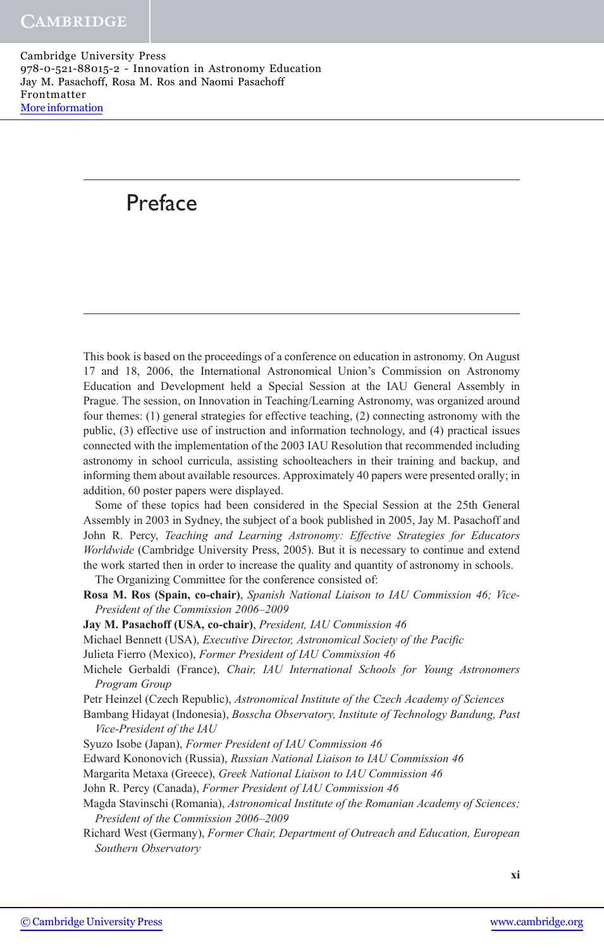## Preface

This book is based on the proceedings of a conference on education in astronomy. On August 17 and 18, 2006, the International Astronomical Union's Commission on Astronomy Education and Development held a Special Session at the IAU General Assembly in Prague. The session, on Innovation in Teaching/Learning Astronomy, was organized around four themes: (1) general strategies for effective teaching, (2) connecting astronomy with the public, (3) effective use of instruction and information technology, and (4) practical issues connected with the implementation of the 2003 IAU Resolution that recommended including astronomy in school curricula, assisting schoolteachers in their training and backup, and informing them about available resources. Approximately 40 papers were presented orally; in addition, 60 poster papers were displayed.

Some of these topics had been considered in the Special Session at the 25th General Assembly in 2003 in Sydney, the subject of a book published in 2005, Jay M. Pasachoff and John R. Percy, Teaching and Learning Astronomy: Effective Strategies for Educators Worldwide (Cambridge University Press, 2005). But it is necessary to continue and extend the work started then in order to increase the quality and quantity of astronomy in schools.

The Organizing Committee for the conference consisted of:

- Rosa M. Ros (Spain, co-chair), Spanish National Liaison to IAU Commission 46; Vice-President of the Commission 2006–2009
- Jay M. Pasachoff (USA, co-chair), President, IAU Commission 46
- Michael Bennett (USA), Executive Director, Astronomical Society of the Pacific
- Julieta Fierro (Mexico), Former President of IAU Commission 46
- Michele Gerbaldi (France), Chair, IAU International Schools for Young Astronomers Program Group

Petr Heinzel (Czech Republic), Astronomical Institute of the Czech Academy of Sciences

- Bambang Hidayat (Indonesia), Bosscha Observatory, Institute of Technology Bandung, Past Vice-President of the IAU
- Syuzo Isobe (Japan), Former President of IAU Commission 46

Edward Kononovich (Russia), Russian National Liaison to IAU Commission 46

Margarita Metaxa (Greece), Greek National Liaison to IAU Commission 46

John R. Percy (Canada), Former President of IAU Commission 46

Richard West (Germany), Former Chair, Department of Outreach and Education, European Southern Observatory

Magda Stavinschi (Romania), Astronomical Institute of the Romanian Academy of Sciences; President of the Commission 2006–2009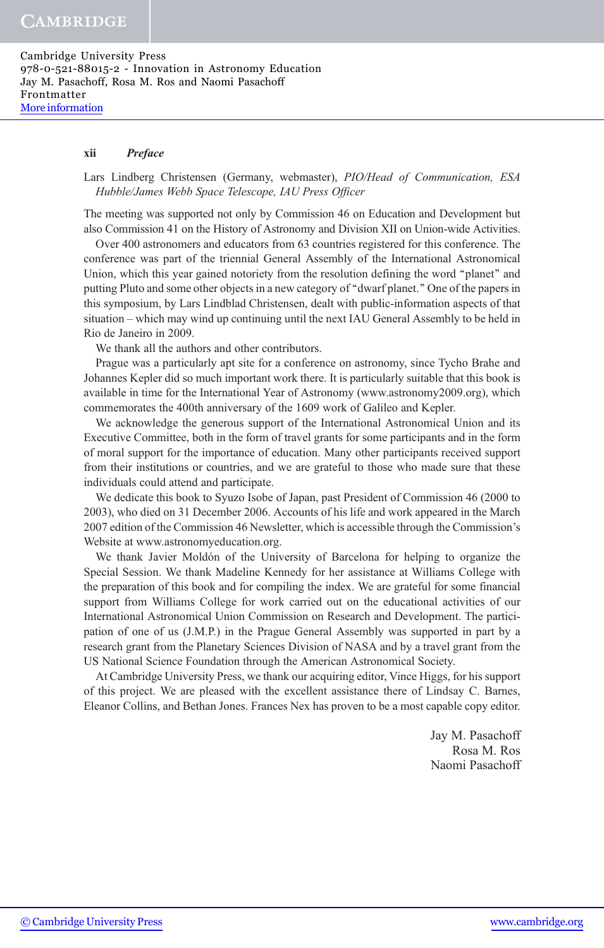Cambridge University Press 978-0-521-88015-2 - Innovation in Astronomy Education Jay M. Pasachoff, Rosa M. Ros and Naomi Pasachoff Frontmatter [More information](http://www.cambridge.org/9780521880152)

#### xii Preface

#### Lars Lindberg Christensen (Germany, webmaster), PIO/Head of Communication, ESA Hubble/James Webb Space Telescope, IAU Press Officer

The meeting was supported not only by Commission 46 on Education and Development but also Commission 41 on the History of Astronomy and Division XII on Union-wide Activities.

Over 400 astronomers and educators from 63 countries registered for this conference. The conference was part of the triennial General Assembly of the International Astronomical Union, which this year gained notoriety from the resolution defining the word "planet" and putting Pluto and some other objects in a new category of ''dwarf planet.'' One of the papers in this symposium, by Lars Lindblad Christensen, dealt with public-information aspects of that situation – which may wind up continuing until the next IAU General Assembly to be held in Rio de Janeiro in 2009.

We thank all the authors and other contributors.

Prague was a particularly apt site for a conference on astronomy, since Tycho Brahe and Johannes Kepler did so much important work there. It is particularly suitable that this book is available in time for the International Year of Astronomy (www.astronomy2009.org), which commemorates the 400th anniversary of the 1609 work of Galileo and Kepler.

We acknowledge the generous support of the International Astronomical Union and its Executive Committee, both in the form of travel grants for some participants and in the form of moral support for the importance of education. Many other participants received support from their institutions or countries, and we are grateful to those who made sure that these individuals could attend and participate.

We dedicate this book to Syuzo Isobe of Japan, past President of Commission 46 (2000 to 2003), who died on 31 December 2006. Accounts of his life and work appeared in the March 2007 edition of the Commission 46 Newsletter, which is accessible through the Commission's Website at www.astronomyeducation.org.

We thank Javier Moldón of the University of Barcelona for helping to organize the Special Session. We thank Madeline Kennedy for her assistance at Williams College with the preparation of this book and for compiling the index. We are grateful for some financial support from Williams College for work carried out on the educational activities of our International Astronomical Union Commission on Research and Development. The participation of one of us (J.M.P.) in the Prague General Assembly was supported in part by a research grant from the Planetary Sciences Division of NASA and by a travel grant from the US National Science Foundation through the American Astronomical Society.

At Cambridge University Press, we thank our acquiring editor, Vince Higgs, for his support of this project. We are pleased with the excellent assistance there of Lindsay C. Barnes, Eleanor Collins, and Bethan Jones. Frances Nex has proven to be a most capable copy editor.

> Jay M. Pasachoff Rosa M. Ros Naomi Pasachoff